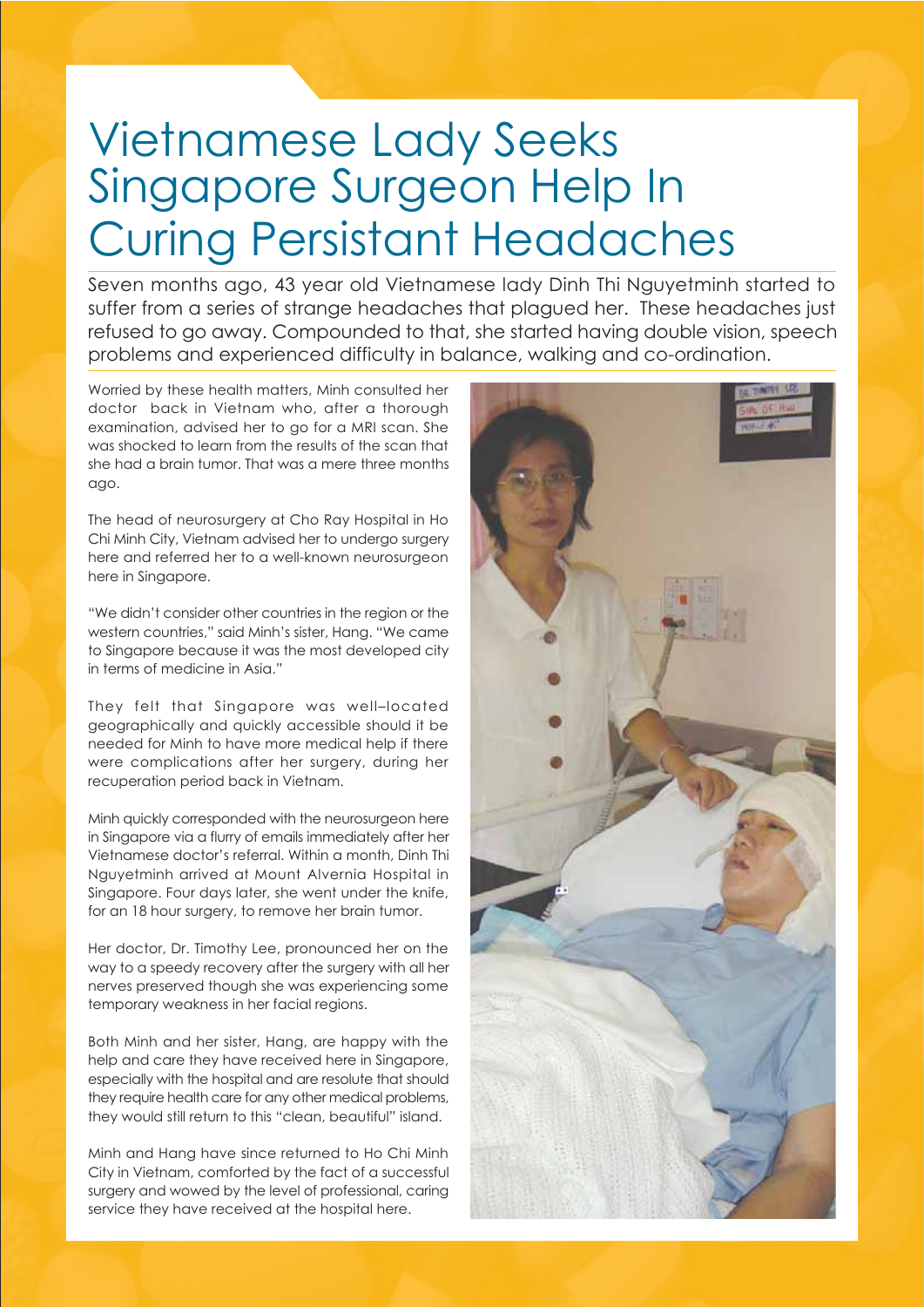# Vietnamese Lady Seeks Singapore Surgeon Help In Curing Persistant Headaches

Seven months ago, 43 year old Vietnamese lady Dinh Thi Nguyetminh started to suffer from a series of strange headaches that plagued her. These headaches just refused to go away. Compounded to that, she started having double vision, speech problems and experienced difficulty in balance, walking and co-ordination.

Worried by these health matters, Minh consulted her doctor back in Vietnam who, after a thorough examination, advised her to go for a MRI scan. She was shocked to learn from the results of the scan that she had a brain tumor. That was a mere three months ago.

The head of neurosurgery at Cho Ray Hospital in Ho Chi Minh City, Vietnam advised her to undergo surgery here and referred her to a well-known neurosurgeon here in Singapore.

"We didn't consider other countries in the region or the western countries," said Minh's sister, Hang. "We came to Singapore because it was the most developed city in terms of medicine in Asia."

They felt that Singapore was well–located geographically and quickly accessible should it be needed for Minh to have more medical help if there were complications after her surgery, during her recuperation period back in Vietnam.

Minh quickly corresponded with the neurosurgeon here in Singapore via a flurry of emails immediately after her Vietnamese doctor's referral. Within a month, Dinh Thi Nguyetminh arrived at Mount Alvernia Hospital in Singapore. Four days later, she went under the knife, for an 18 hour surgery, to remove her brain tumor.

Her doctor, Dr. Timothy Lee, pronounced her on the way to a speedy recovery after the surgery with all her nerves preserved though she was experiencing some temporary weakness in her facial regions.

Both Minh and her sister, Hang, are happy with the help and care they have received here in Singapore, especially with the hospital and are resolute that should they require health care for any other medical problems, they would still return to this "clean, beautiful" island.

Minh and Hang have since returned to Ho Chi Minh City in Vietnam, comforted by the fact of a successful surgery and wowed by the level of professional, caring service they have received at the hospital here.